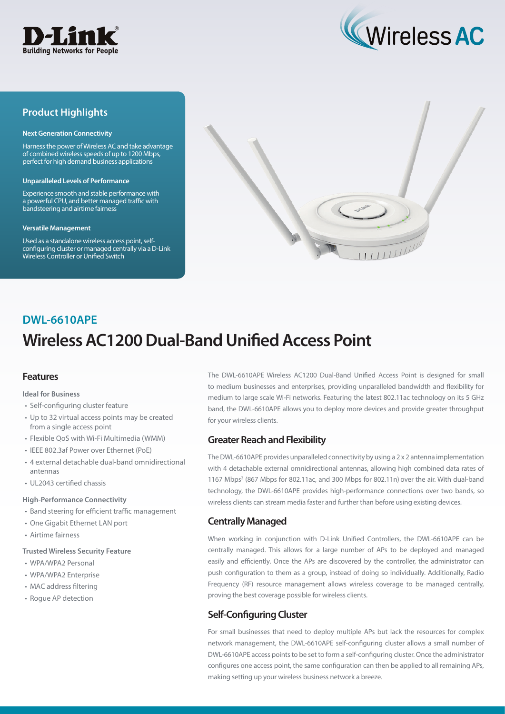



## **Product Highlights**

#### **Next Generation Connectivity**

Harness the power of Wireless AC and take advantage of combined wireless speeds of up to 1200 Mbps, perfect for high demand business applications

#### **Unparalleled Levels of Performance**

Experience smooth and stable performance with a powerful CPU, and better managed traffic with bandsteering and airtime fairness

#### **Versatile Management**

Used as a standalone wireless access point, selfconfiguring cluster or managed centrally via a D-Link Wireless Controller or Unified Switch



# **Wireless AC1200 Dual-Band Unified Access Point DWL-6610APE**

#### **Features**

**Ideal for Business**

- Self-configuring cluster feature
- Up to 32 virtual access points may be created from a single access point
- Flexible QoS with Wi-Fi Multimedia (WMM)
- IEEE 802.3af Power over Ethernet (PoE)
- 4 external detachable dual-band omnidirectional antennas
- UL2043 certified chassis

#### **High-Performance Connectivity**

- Band steering for efficient traffic management
- One Gigabit Ethernet LAN port
- Airtime fairness

#### **Trusted Wireless Security Feature**

- WPA/WPA2 Personal
- WPA/WPA2 Enterprise
- MAC address filtering
- Rogue AP detection

The DWL-6610APE Wireless AC1200 Dual-Band Unified Access Point is designed for small to medium businesses and enterprises, providing unparalleled bandwidth and flexibility for medium to large scale Wi-Fi networks. Featuring the latest 802.11ac technology on its 5 GHz band, the DWL-6610APE allows you to deploy more devices and provide greater throughput for your wireless clients.

#### **Greater Reach and Flexibility**

The DWL-6610APE provides unparalleled connectivity by using a 2 x 2 antenna implementation with 4 detachable external omnidirectional antennas, allowing high combined data rates of 1167 Mbps<sup>2</sup> (867 Mbps for 802.11ac, and 300 Mbps for 802.11n) over the air. With dual-band technology, the DWL-6610APE provides high-performance connections over two bands, so wireless clients can stream media faster and further than before using existing devices.

#### **Centrally Managed**

When working in conjunction with D-Link Unified Controllers, the DWL-6610APE can be centrally managed. This allows for a large number of APs to be deployed and managed easily and efficiently. Once the APs are discovered by the controller, the administrator can push configuration to them as a group, instead of doing so individually. Additionally, Radio Frequency (RF) resource management allows wireless coverage to be managed centrally, proving the best coverage possible for wireless clients.

## **Self-Configuring Cluster**

For small businesses that need to deploy multiple APs but lack the resources for complex network management, the DWL-6610APE self-configuring cluster allows a small number of DWL-6610APE access points to be set to form a self-configuring cluster. Once the administrator configures one access point, the same configuration can then be applied to all remaining APs, making setting up your wireless business network a breeze.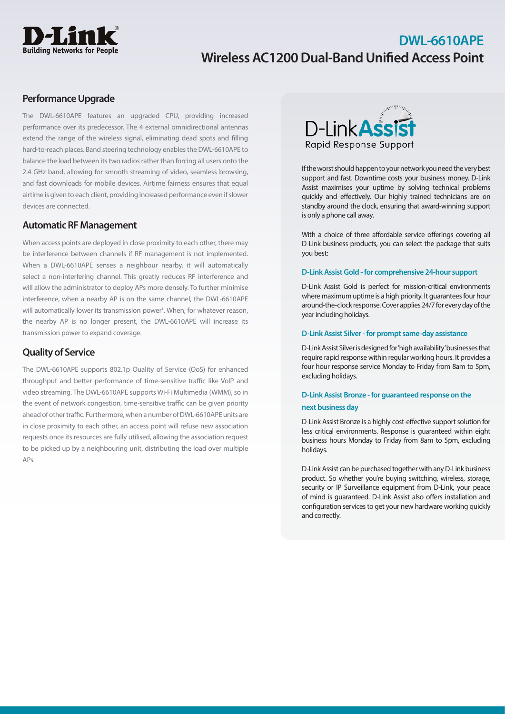

## **DWL-6610APE Wireless AC1200 Dual-Band Unified Access Point**

## **Performance Upgrade**

The DWL-6610APE features an upgraded CPU, providing increased performance over its predecessor. The 4 external omnidirectional antennas extend the range of the wireless signal, eliminating dead spots and filling hard-to-reach places. Band steering technology enables the DWL-6610APE to balance the load between its two radios rather than forcing all users onto the 2.4 GHz band, allowing for smooth streaming of video, seamless browsing, and fast downloads for mobile devices. Airtime fairness ensures that equal airtime is given to each client, providing increased performance even if slower devices are connected.

### **Automatic RF Management**

When access points are deployed in close proximity to each other, there may be interference between channels if RF management is not implemented. When a DWL-6610APE senses a neighbour nearby, it will automatically select a non-interfering channel. This greatly reduces RF interference and will allow the administrator to deploy APs more densely. To further minimise interference, when a nearby AP is on the same channel, the DWL-6610APE will automatically lower its transmission power<sup>1</sup>. When, for whatever reason, the nearby AP is no longer present, the DWL-6610APE will increase its transmission power to expand coverage.

## **Quality of Service**

The DWL-6610APE supports 802.1p Quality of Service (QoS) for enhanced throughput and better performance of time-sensitive traffic like VoIP and video streaming. The DWL-6610APE supports Wi-Fi Multimedia (WMM), so in the event of network congestion, time-sensitive traffic can be given priority ahead of other traffic. Furthermore, when a number of DWL-6610APE units are in close proximity to each other, an access point will refuse new association requests once its resources are fully utilised, allowing the association request to be picked up by a neighbouring unit, distributing the load over multiple APs.



If the worst should happen to your network you need the very best support and fast. Downtime costs your business money. D-Link Assist maximises your uptime by solving technical problems quickly and effectively. Our highly trained technicians are on standby around the clock, ensuring that award-winning support is only a phone call away.

With a choice of three affordable service offerings covering all D-Link business products, you can select the package that suits you best:

#### **D-Link Assist Gold - for comprehensive 24-hour support**

D-Link Assist Gold is perfect for mission-critical environments where maximum uptime is a high priority. It guarantees four hour around-the-clock response. Cover applies 24/7 for every day of the year including holidays.

#### **D-Link Assist Silver - for prompt same-day assistance**

D-Link Assist Silver is designed for 'high availability' businesses that require rapid response within regular working hours. It provides a four hour response service Monday to Friday from 8am to 5pm, excluding holidays.

### **D-Link Assist Bronze - for guaranteed response on the next business day**

D-Link Assist Bronze is a highly cost-effective support solution for less critical environments. Response is guaranteed within eight business hours Monday to Friday from 8am to 5pm, excluding holidays.

D-Link Assist can be purchased together with any D-Link business product. So whether you're buying switching, wireless, storage, security or IP Surveillance equipment from D-Link, your peace of mind is guaranteed. D-Link Assist also offers installation and configuration services to get your new hardware working quickly and correctly.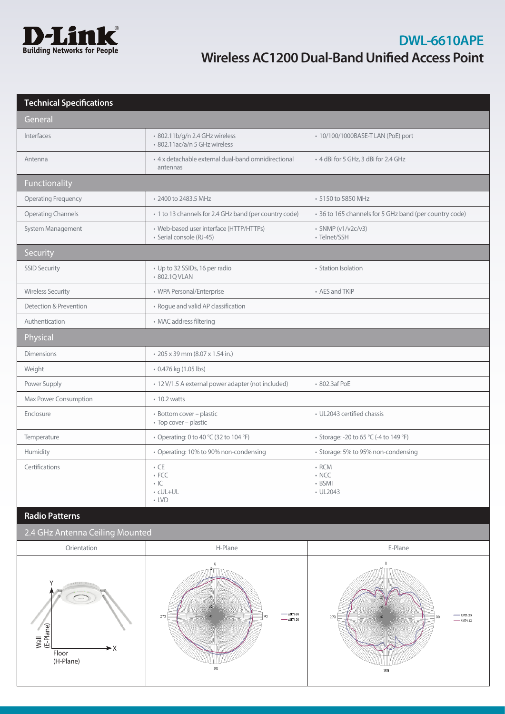

## **DWL-6610APE Wireless AC1200 Dual-Band Unified Access Point**

| <b>Technical Specifications</b> |                                                                          |                                                        |
|---------------------------------|--------------------------------------------------------------------------|--------------------------------------------------------|
| General                         |                                                                          |                                                        |
| Interfaces                      | · 802.11b/g/n 2.4 GHz wireless<br>· 802.11ac/a/n 5 GHz wireless          | • 10/100/1000BASE-T LAN (PoE) port                     |
| Antenna                         | • 4 x detachable external dual-band omnidirectional<br>antennas          | • 4 dBi for 5 GHz, 3 dBi for 2.4 GHz                   |
| Functionality                   |                                                                          |                                                        |
| <b>Operating Frequency</b>      | • 2400 to 2483.5 MHz                                                     | • 5150 to 5850 MHz                                     |
| <b>Operating Channels</b>       | • 1 to 13 channels for 2.4 GHz band (per country code)                   | • 36 to 165 channels for 5 GHz band (per country code) |
| System Management               | • Web-based user interface (HTTP/HTTPs)<br>· Serial console (RJ-45)      | • SNMP (v1/v2c/v3)<br>• Telnet/SSH                     |
| Security                        |                                                                          |                                                        |
| <b>SSID Security</b>            | • Up to 32 SSIDs, 16 per radio<br>• 802.1Q VLAN                          | • Station Isolation                                    |
| <b>Wireless Security</b>        | • WPA Personal/Enterprise                                                | • AES and TKIP                                         |
| Detection & Prevention          | • Rogue and valid AP classification                                      |                                                        |
| Authentication                  | • MAC address filtering                                                  |                                                        |
| Physical                        |                                                                          |                                                        |
| <b>Dimensions</b>               | · 205 x 39 mm (8.07 x 1.54 in.)                                          |                                                        |
| Weight                          | • 0.476 kg (1.05 lbs)                                                    |                                                        |
| Power Supply                    | · 12 V/1.5 A external power adapter (not included)                       | • 802.3af PoE                                          |
| Max Power Consumption           | $\cdot$ 10.2 watts                                                       |                                                        |
| Enclosure                       | · Bottom cover - plastic<br>• Top cover - plastic                        | • UL2043 certified chassis                             |
| Temperature                     | • Operating: 0 to 40 °C (32 to 104 °F)                                   | • Storage: -20 to 65 °C (-4 to 149 °F)                 |
| Humidity                        | • Operating: 10% to 90% non-condensing                                   | • Storage: 5% to 95% non-condensing                    |
| Certifications                  | $\cdot$ CE<br>$\cdot$ FCC<br>$\cdot$ IC<br>$\cdot$ cUL+UL<br>$\cdot$ LVD | $\cdot$ RCM<br>$\cdot$ NCC<br>• BSMI<br>• UL2043       |

## **Radio Patterns**

## 2.4 GHz Antenna Ceiling Mounted